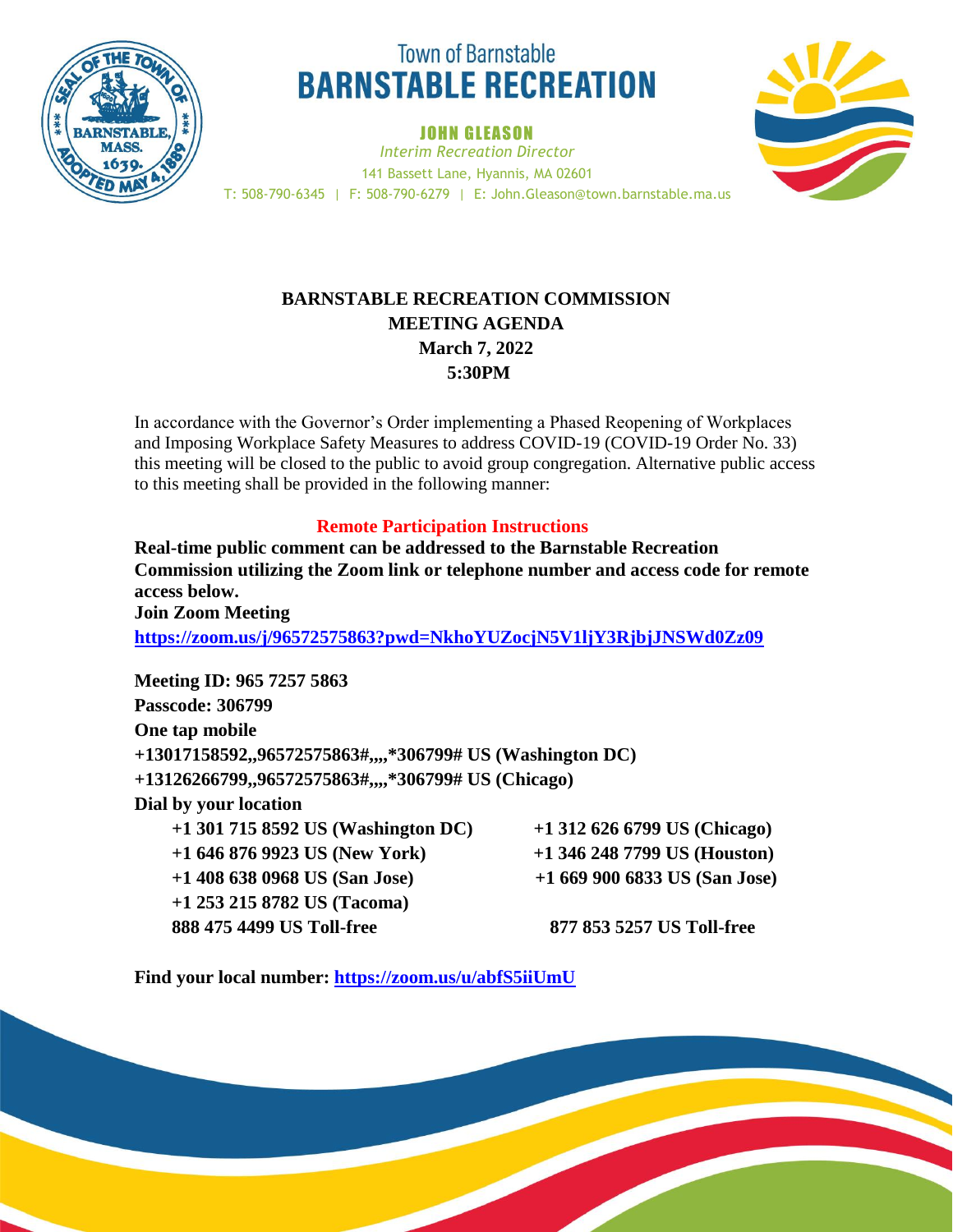

# **Town of Barnstable BARNSTABLE RECREATION**

**JOHN GLEASON** 



*Interim Recreation Director* 141 Bassett Lane, Hyannis, MA 02601 T: 508-790-6345 | F: 508-790-6279 | E: John.Gleason@town.barnstable.ma.us

## **BARNSTABLE RECREATION COMMISSION MEETING AGENDA March 7, 2022 5:30PM**

In accordance with the Governor's Order implementing a Phased Reopening of Workplaces and Imposing Workplace Safety Measures to address COVID-19 (COVID-19 Order No. 33) this meeting will be closed to the public to avoid group congregation. Alternative public access to this meeting shall be provided in the following manner:

### **Remote Participation Instructions**

**Real-time public comment can be addressed to the Barnstable Recreation Commission utilizing the Zoom link or telephone number and access code for remote access below. Join Zoom Meeting**

**<https://zoom.us/j/96572575863?pwd=NkhoYUZocjN5V1ljY3RjbjJNSWd0Zz09>**

**Meeting ID: 965 7257 5863 Passcode: 306799 One tap mobile +13017158592,,96572575863#,,,,\*306799# US (Washington DC) +13126266799,,96572575863#,,,,\*306799# US (Chicago) Dial by your location +1 301 715 8592 US (Washington DC) +1 312 626 6799 US (Chicago) +1 646 876 9923 US (New York) +1 346 248 7799 US (Houston) +1 408 638 0968 US (San Jose) +1 669 900 6833 US (San Jose) +1 253 215 8782 US (Tacoma) 888 475 4499 US Toll-free 877 853 5257 US Toll-free**

**Find your local number: <https://zoom.us/u/abfS5iiUmU>**